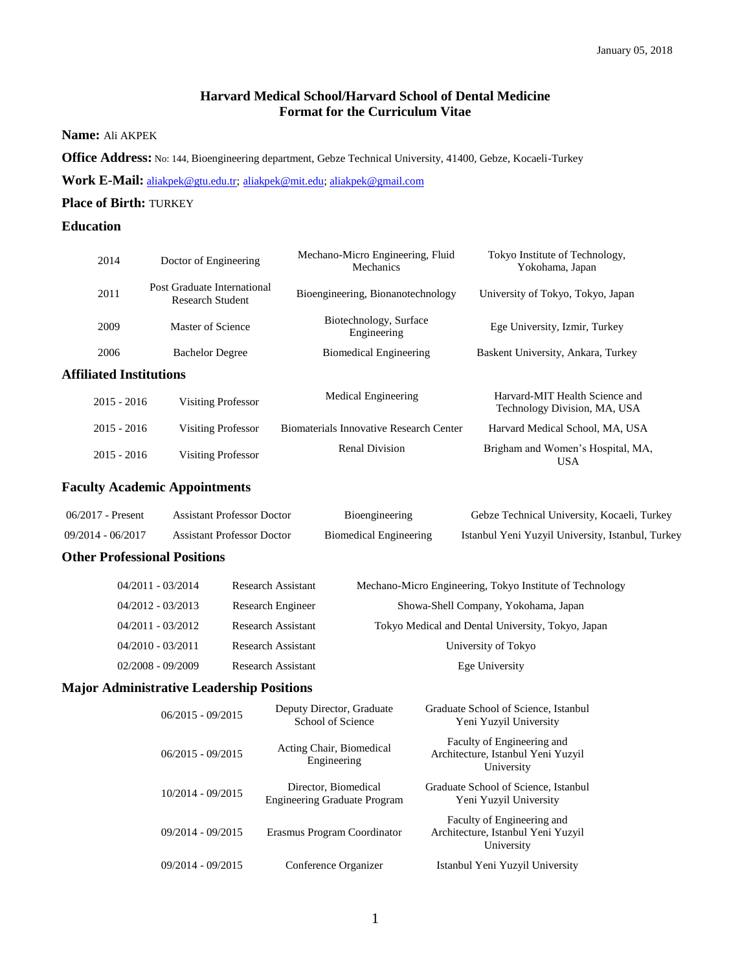# **Harvard Medical School/Harvard School of Dental Medicine Format for the Curriculum Vitae**

## **Name:** Ali AKPEK

**Office Address:** No: 144, Bioengineering department, Gebze Technical University, 41400, Gebze, Kocaeli-Turkey

**Work E-Mail:** [aliakpek@gtu.edu.tr;](mailto:aliakpek@gtu.edu.tr) [aliakpek@mit.edu;](mailto:aliakpek@mit.edu) [aliakpek@gmail.com](mailto:aliakpek@gmail.com)

# **Place of Birth:** TURKEY

# **Education**

| 2014                           | Doctor of Engineering                           | Mechano-Micro Engineering, Fluid<br>Mechanics | Tokyo Institute of Technology,<br>Yokohama, Japan              |
|--------------------------------|-------------------------------------------------|-----------------------------------------------|----------------------------------------------------------------|
| 2011                           | Post Graduate International<br>Research Student | Bioengineering, Bionanotechnology             | University of Tokyo, Tokyo, Japan                              |
| 2009                           | Master of Science                               | Biotechnology, Surface<br>Engineering         | Ege University, Izmir, Turkey                                  |
| 2006                           | <b>Bachelor Degree</b>                          | <b>Biomedical Engineering</b>                 | Baskent University, Ankara, Turkey                             |
| <b>Affiliated Institutions</b> |                                                 |                                               |                                                                |
| $2015 - 2016$                  | <b>Visiting Professor</b>                       | Medical Engineering                           | Harvard-MIT Health Science and<br>Technology Division, MA, USA |
| $2015 - 2016$                  | <b>Visiting Professor</b>                       | Biomaterials Innovative Research Center       | Harvard Medical School, MA, USA                                |
| $2015 - 2016$                  | <b>Visiting Professor</b>                       | <b>Renal Division</b>                         | Brigham and Women's Hospital, MA,<br><b>USA</b>                |

# **Faculty Academic Appointments**

| 06/2017 - Present | Assistant Professor Doctor | Bioengineering         | Gebze Technical University, Kocaeli, Turkey       |
|-------------------|----------------------------|------------------------|---------------------------------------------------|
| 09/2014 - 06/2017 | Assistant Professor Doctor | Biomedical Engineering | Istanbul Yeni Yuzyil University, Istanbul, Turkey |

# **Other Professional Positions**

| $04/2011 - 03/2014$ | <b>Research Assistant</b> | Mechano-Micro Engineering, Tokyo Institute of Technology |
|---------------------|---------------------------|----------------------------------------------------------|
| $04/2012 - 03/2013$ | Research Engineer         | Showa-Shell Company, Yokohama, Japan                     |
| $04/2011 - 03/2012$ | <b>Research Assistant</b> | Tokyo Medical and Dental University, Tokyo, Japan        |
| $04/2010 - 03/2011$ | <b>Research Assistant</b> | University of Tokyo                                      |
| $02/2008 - 09/2009$ | Research Assistant        | Ege University                                           |

# **Major Administrative Leadership Positions**

| $06/2015 - 09/2015$ | Deputy Director, Graduate<br>School of Science              | Graduate School of Science, Istanbul<br>Yeni Yuzyil University                 |
|---------------------|-------------------------------------------------------------|--------------------------------------------------------------------------------|
| $06/2015 - 09/2015$ | Acting Chair, Biomedical<br>Engineering                     | Faculty of Engineering and<br>Architecture, Istanbul Yeni Yuzyil<br>University |
| $10/2014 - 09/2015$ | Director, Biomedical<br><b>Engineering Graduate Program</b> | Graduate School of Science, Istanbul<br>Yeni Yuzyil University                 |
| $09/2014 - 09/2015$ | Erasmus Program Coordinator                                 | Faculty of Engineering and<br>Architecture, Istanbul Yeni Yuzyil<br>University |
| 09/2014 - 09/2015   | Conference Organizer                                        | Istanbul Yeni Yuzyil University                                                |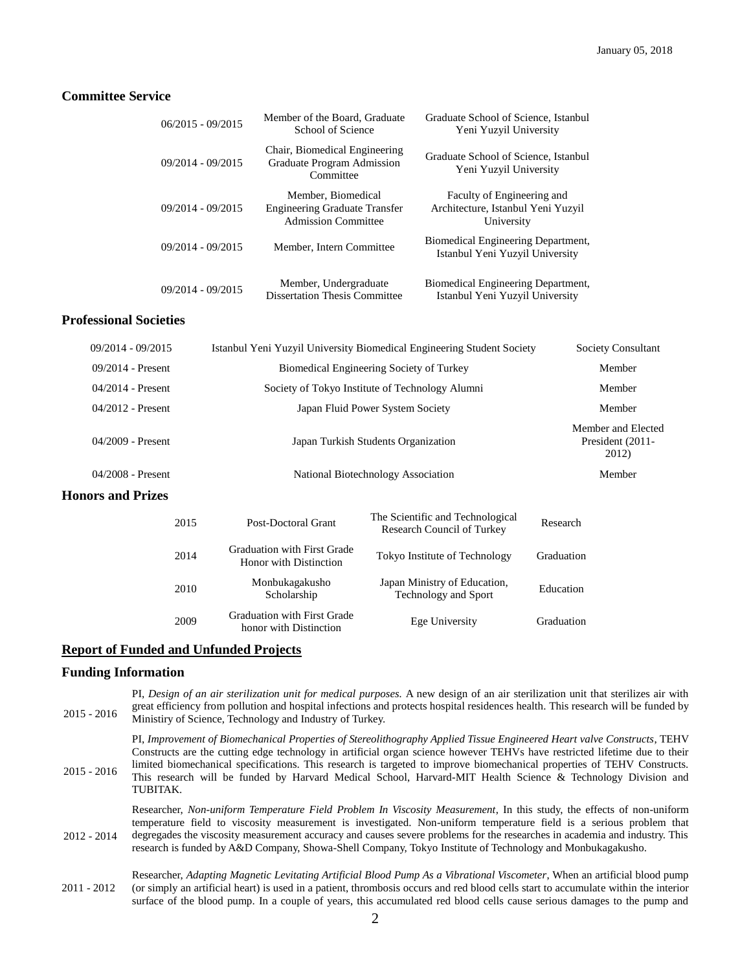#### **Committee Service**

| $06/2015 - 09/2015$ | Member of the Board, Graduate<br>School of Science                                | Graduate School of Science, Istanbul<br>Yeni Yuzyil University                 |
|---------------------|-----------------------------------------------------------------------------------|--------------------------------------------------------------------------------|
| $09/2014 - 09/2015$ | Chair, Biomedical Engineering<br>Graduate Program Admission<br>Committee          | Graduate School of Science, Istanbul<br>Yeni Yuzyil University                 |
| $09/2014 - 09/2015$ | Member, Biomedical<br>Engineering Graduate Transfer<br><b>Admission Committee</b> | Faculty of Engineering and<br>Architecture, Istanbul Yeni Yuzyil<br>University |
| $09/2014 - 09/2015$ | Member, Intern Committee                                                          | Biomedical Engineering Department,<br>Istanbul Yeni Yuzyil University          |
| $09/2014 - 09/2015$ | Member, Undergraduate<br><b>Dissertation Thesis Committee</b>                     | Biomedical Engineering Department,<br>Istanbul Yeni Yuzyil University          |

#### **Professional Societies**

| $09/2014 - 09/2015$      |                                                              | Istanbul Yeni Yuzyil University Biomedical Engineering Student Society |                                                 |
|--------------------------|--------------------------------------------------------------|------------------------------------------------------------------------|-------------------------------------------------|
| $09/2014$ - Present      |                                                              | Biomedical Engineering Society of Turkey                               |                                                 |
| $04/2014$ - Present      |                                                              | Society of Tokyo Institute of Technology Alumni                        |                                                 |
| $04/2012$ - Present      |                                                              | Japan Fluid Power System Society                                       |                                                 |
| 04/2009 - Present        | Japan Turkish Students Organization                          |                                                                        | Member and Elected<br>President (2011-<br>2012) |
| $04/2008$ - Present      | National Biotechnology Association                           |                                                                        | Member                                          |
| <b>Honors and Prizes</b> |                                                              |                                                                        |                                                 |
| 2015                     | Post-Doctoral Grant                                          | The Scientific and Technological<br>Research Council of Turkey         | Research                                        |
| 2014                     | <b>Graduation with First Grade</b><br>Honor with Distinction | Tokyo Institute of Technology                                          | Graduation                                      |

# **Report of Funded and Unfunded Projects**

<sup>2010</sup> Monbukagakusho

<sup>2009</sup> Graduation with First Grade

Scholarship

# **Funding Information**

2015 - 2016 PI, *Design of an air sterilization unit for medical purposes.* A new design of an air sterilization unit that sterilizes air with great efficiency from pollution and hospital infections and protects hospital residences health. This research will be funded by Ministiry of Science, Technology and Industry of Turkey.

Japan Ministry of Education,

Aduation with Distinction<br>
Ege University Graduation<br>
Graduation

France Containst Fechnology and Sport France Education

2015 - 2016 PI, *Improvement of Biomechanical Properties of Stereolithography Applied Tissue Engineered Heart valve Constructs*, TEHV Constructs are the cutting edge technology in artificial organ science however TEHVs have restricted lifetime due to their limited biomechanical specifications. This research is targeted to improve biomechanical properties of TEHV Constructs. This research will be funded by Harvard Medical School, Harvard-MIT Health Science & Technology Division and TUBITAK.

2012 - 2014 Researcher, *Non-uniform Temperature Field Problem In Viscosity Measurement*, In this study, the effects of non-uniform temperature field to viscosity measurement is investigated. Non-uniform temperature field is a serious problem that degregades the viscosity measurement accuracy and causes severe problems for the researches in academia and industry. This research is funded by A&D Company, Showa-Shell Company, Tokyo Institute of Technology and Monbukagakusho.

2011 - 2012 Researcher, *Adapting Magnetic Levitating Artificial Blood Pump As a Vibrational Viscometer*, When an artificial blood pump (or simply an artificial heart) is used in a patient, thrombosis occurs and red blood cells start to accumulate within the interior surface of the blood pump. In a couple of years, this accumulated red blood cells cause serious damages to the pump and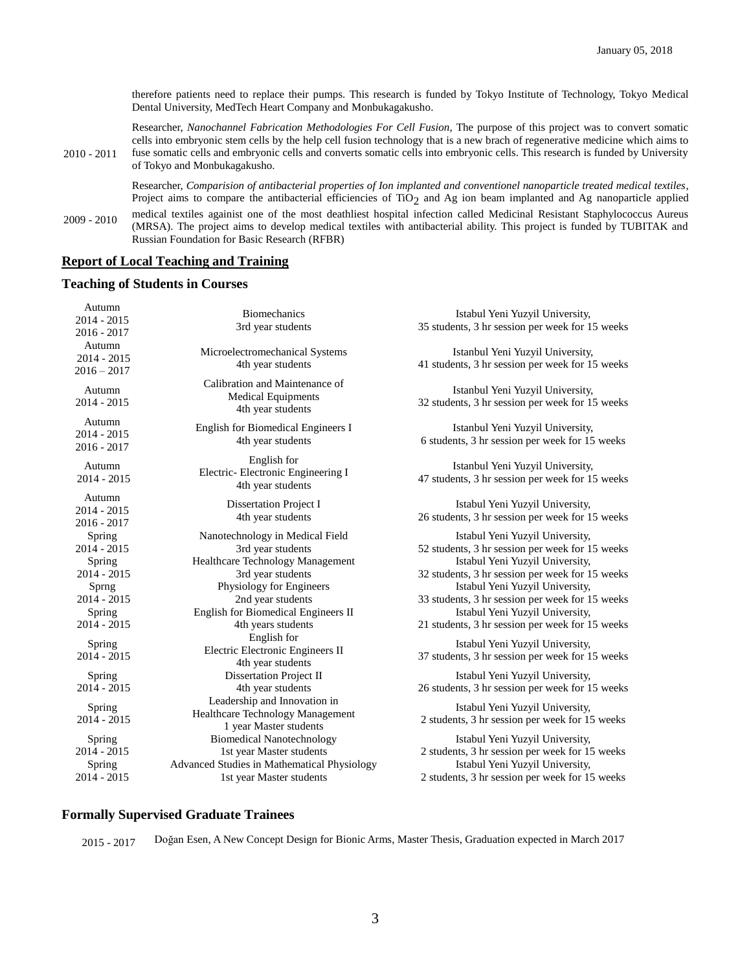therefore patients need to replace their pumps. This research is funded by Tokyo Institute of Technology, Tokyo Medical Dental University, MedTech Heart Company and Monbukagakusho.

2010 - 2011 Researcher, *Nanochannel Fabrication Methodologies For Cell Fusion*, The purpose of this project was to convert somatic cells into embryonic stem cells by the help cell fusion technology that is a new brach of regenerative medicine which aims to fuse somatic cells and embryonic cells and converts somatic cells into embryonic cells. This research is funded by University of Tokyo and Monbukagakusho.

> Researcher, *Comparision of antibacterial properties of Ion implanted and conventionel nanoparticle treated medical textiles*, Project aims to compare the antibacterial efficiencies of  $TiO<sub>2</sub>$  and Ag ion beam implanted and Ag nanoparticle applied

2009 - 2010 medical textiles againist one of the most deathliest hospital infection called Medicinal Resistant Staphylococcus Aureus (MRSA). The project aims to develop medical textiles with antibacterial ability. This project is funded by TUBITAK and Russian Foundation for Basic Research (RFBR)

#### **Report of Local Teaching and Training**

#### **Teaching of Students in Courses**

| Autumn<br>2014 - 2015<br>$2016 - 2017$   | <b>Biomechanics</b><br>3rd year students                                                   | Istabul Yeni Yuzyil University,<br>35 students, 3 hr session per week for 15 weeks                                    |
|------------------------------------------|--------------------------------------------------------------------------------------------|-----------------------------------------------------------------------------------------------------------------------|
| Autumn<br>$2014 - 2015$<br>$2016 - 2017$ | Microelectromechanical Systems<br>4th year students                                        | Istanbul Yeni Yuzyil University,<br>41 students, 3 hr session per week for 15 weeks                                   |
| Autumn<br>$2014 - 2015$                  | Calibration and Maintenance of<br><b>Medical Equipments</b><br>4th year students           | Istanbul Yeni Yuzyil University,<br>32 students, 3 hr session per week for 15 weeks                                   |
| Autumn<br>$2014 - 2015$<br>$2016 - 2017$ | English for Biomedical Engineers I<br>4th year students                                    | Istanbul Yeni Yuzyil University,<br>6 students, 3 hr session per week for 15 weeks                                    |
| Autumn<br>$2014 - 2015$                  | English for<br>Electric- Electronic Engineering I<br>4th year students                     | Istanbul Yeni Yuzyil University,<br>47 students, 3 hr session per week for 15 weeks                                   |
| Autumn<br>2014 - 2015<br>$2016 - 2017$   | <b>Dissertation Project I</b><br>4th year students                                         | Istabul Yeni Yuzyil University,<br>26 students, 3 hr session per week for 15 weeks                                    |
| Spring<br>$2014 - 2015$                  | Nanotechnology in Medical Field<br>3rd year students                                       | Istabul Yeni Yuzyil University,<br>52 students, 3 hr session per week for 15 weeks                                    |
| Spring<br>$2014 - 2015$<br>Sprng         | Healthcare Technology Management<br>3rd year students<br>Physiology for Engineers          | Istabul Yeni Yuzyil University,<br>32 students, 3 hr session per week for 15 weeks<br>Istabul Yeni Yuzyil University, |
| $2014 - 2015$<br>Spring                  | 2nd year students<br>English for Biomedical Engineers II                                   | 33 students, 3 hr session per week for 15 weeks<br>Istabul Yeni Yuzyil University,                                    |
| $2014 - 2015$                            | 4th years students<br>English for                                                          | 21 students, 3 hr session per week for 15 weeks                                                                       |
| Spring<br>$2014 - 2015$                  | Electric Electronic Engineers II<br>4th year students                                      | Istabul Yeni Yuzyil University,<br>37 students, 3 hr session per week for 15 weeks                                    |
| Spring<br>$2014 - 2015$                  | Dissertation Project II<br>4th year students                                               | Istabul Yeni Yuzyil University,<br>26 students, 3 hr session per week for 15 weeks                                    |
| Spring<br>$2014 - 2015$                  | Leadership and Innovation in<br>Healthcare Technology Management<br>1 year Master students | Istabul Yeni Yuzyil University,<br>2 students, 3 hr session per week for 15 weeks                                     |
| Spring<br>$2014 - 2015$                  | <b>Biomedical Nanotechnology</b><br>1st year Master students                               | Istabul Yeni Yuzyil University,<br>2 students, 3 hr session per week for 15 weeks                                     |
| Spring<br>2014 - 2015                    | Advanced Studies in Mathematical Physiology<br>1st year Master students                    | Istabul Yeni Yuzyil University,<br>2 students, 3 hr session per week for 15 weeks                                     |

# **Formally Supervised Graduate Trainees**

2015 - 2017 Doğan Esen, A New Concept Design for Bionic Arms, Master Thesis, Graduation expected in March 2017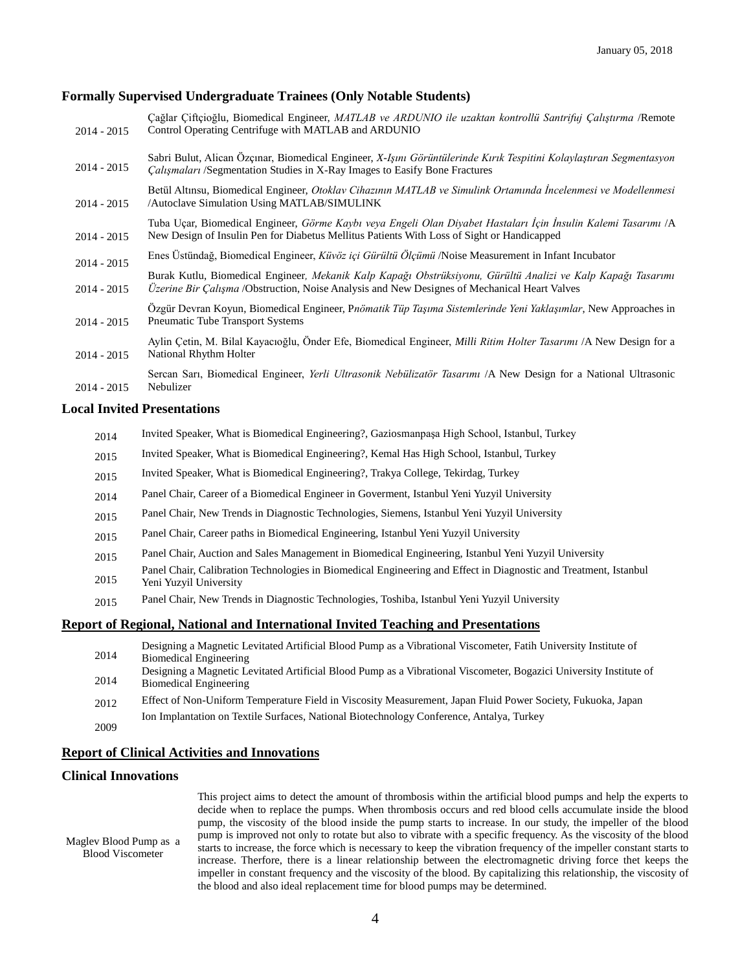#### **Formally Supervised Undergraduate Trainees (Only Notable Students)**

| $2014 - 2015$ | Cağlar Çiftçioğlu, Biomedical Engineer, MATLAB ve ARDUNIO ile uzaktan kontrollü Santrifuj Çalıştırma /Remote<br>Control Operating Centrifuge with MATLAB and ARDUNIO                                                |
|---------------|---------------------------------------------------------------------------------------------------------------------------------------------------------------------------------------------------------------------|
| $2014 - 2015$ | Sabri Bulut, Alican Özçinar, Biomedical Engineer, X-Işını Görüntülerinde Kırık Tespitini Kolaylaştıran Segmentasyon<br><i>Calismalari</i> /Segmentation Studies in X-Ray Images to Easify Bone Fractures            |
| $2014 - 2015$ | Betül Altınsu, Biomedical Engineer, Otoklav Cihazının MATLAB ve Simulink Ortamında İncelenmesi ve Modellenmesi<br>Autoclave Simulation Using MATLAB/SIMULINK                                                        |
| $2014 - 2015$ | Tuba Uçar, Biomedical Engineer, Görme Kaybı veya Engeli Olan Diyabet Hastaları İçin İnsulin Kalemi Tasarımı /A<br>New Design of Insulin Pen for Diabetus Mellitus Patients With Loss of Sight or Handicapped        |
| $2014 - 2015$ | Enes Üstündağ, Biomedical Engineer, Küvöz içi Gürültü Ölçümü /Noise Measurement in Infant Incubator                                                                                                                 |
| $2014 - 2015$ | Burak Kutlu, Biomedical Engineer, Mekanik Kalp Kapağı Obstrüksiyonu, Gürültü Analizi ve Kalp Kapağı Tasarımı<br><i>Úzerine Bir Çalışma</i> /Obstruction, Noise Analysis and New Designes of Mechanical Heart Valves |
| $2014 - 2015$ | Özgür Devran Koyun, Biomedical Engineer, Pnömatik Tüp Taşıma Sistemlerinde Yeni Yaklaşımlar, New Approaches in<br>Pneumatic Tube Transport Systems                                                                  |
| $2014 - 2015$ | Aylin Çetin, M. Bilal Kayacıoğlu, Önder Efe, Biomedical Engineer, Milli Ritim Holter Tasarımı /A New Design for a<br>National Rhythm Holter                                                                         |
| $2014 - 2015$ | Sercan Sari, Biomedical Engineer, Yerli Ultrasonik Nebülizatör Tasarımı /A New Design for a National Ultrasonic<br>Nebulizer                                                                                        |

#### **Local Invited Presentations**

| 2014 |  | Invited Speaker, What is Biomedical Engineering?, Gaziosmanpaşa High School, Istanbul, Turkey |  |
|------|--|-----------------------------------------------------------------------------------------------|--|
|------|--|-----------------------------------------------------------------------------------------------|--|

- 2015 Invited Speaker, What is Biomedical Engineering?, Kemal Has High School, Istanbul, Turkey
- 2015 Invited Speaker, What is Biomedical Engineering?, Trakya College, Tekirdag, Turkey
- 2014 Panel Chair, Career of a Biomedical Engineer in Goverment, Istanbul Yeni Yuzyil University
- 2015 Panel Chair, New Trends in Diagnostic Technologies, Siemens, Istanbul Yeni Yuzyil University
- 2015 Panel Chair, Career paths in Biomedical Engineering, Istanbul Yeni Yuzyil University
- 2015 Panel Chair, Auction and Sales Management in Biomedical Engineering, Istanbul Yeni Yuzyil University
- 2015 Panel Chair, Calibration Technologies in Biomedical Engineering and Effect in Diagnostic and Treatment, Istanbul
- Yeni Yuzyil University
- 2015 Panel Chair, New Trends in Diagnostic Technologies, Toshiba, Istanbul Yeni Yuzyil University

#### **Report of Regional, National and International Invited Teaching and Presentations**

- 2014 Designing a Magnetic Levitated Artificial Blood Pump as a Vibrational Viscometer, Fatih University Institute of Biomedical Engineering
- 2014 Designing a Magnetic Levitated Artificial Blood Pump as a Vibrational Viscometer, Bogazici University Institute of Biomedical Engineering
- 2012 Effect of Non-Uniform Temperature Field in Viscosity Measurement, Japan Fluid Power Society, Fukuoka, Japan
- Ion Implantation on Textile Surfaces, National Biotechnology Conference, Antalya, Turkey

# 2009

# **Report of Clinical Activities and Innovations**

## **Clinical Innovations**

| Magley Blood Pump as a<br><b>Blood Viscometer</b> | decide when to replace the pumps. When thrombosis occurs and red blood cells accumulate inside the blood<br>pump, the viscosity of the blood inside the pump starts to increase. In our study, the impeller of the blood<br>pump is improved not only to rotate but also to vibrate with a specific frequency. As the viscosity of the blood<br>starts to increase, the force which is necessary to keep the vibration frequency of the impeller constant starts to<br>increase. Therfore, there is a linear relationship between the electromagnetic driving force thet keeps the |
|---------------------------------------------------|------------------------------------------------------------------------------------------------------------------------------------------------------------------------------------------------------------------------------------------------------------------------------------------------------------------------------------------------------------------------------------------------------------------------------------------------------------------------------------------------------------------------------------------------------------------------------------|
|                                                   | impeller in constant frequency and the viscosity of the blood. By capitalizing this relationship, the viscosity of                                                                                                                                                                                                                                                                                                                                                                                                                                                                 |
|                                                   | the blood and also ideal replacement time for blood pumps may be determined.                                                                                                                                                                                                                                                                                                                                                                                                                                                                                                       |

This project aims to detect the amount of thrombosis within the artificial blood pumps and help the experts to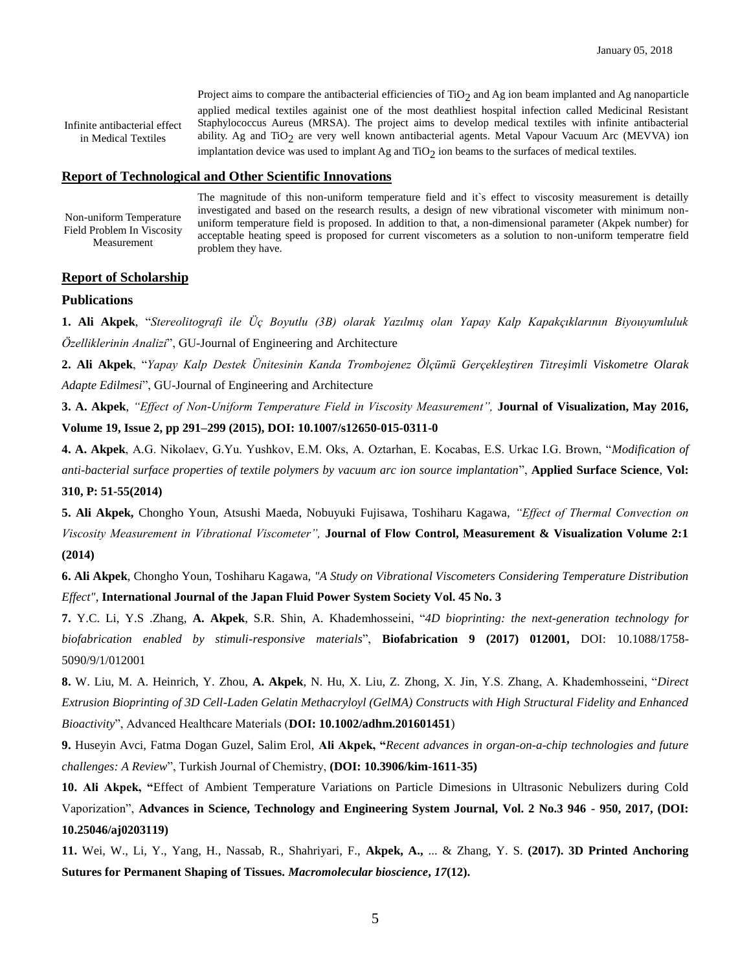Infinite antibacterial effect in Medical Textiles

Project aims to compare the antibacterial efficiencies of  $TiO<sub>2</sub>$  and Ag ion beam implanted and Ag nanoparticle applied medical textiles againist one of the most deathliest hospital infection called Medicinal Resistant Staphylococcus Aureus (MRSA). The project aims to develop medical textiles with infinite antibacterial ability. Ag and  $TiO<sub>2</sub>$  are very well known antibacterial agents. Metal Vapour Vacuum Arc (MEVVA) ion implantation device was used to implant Ag and  $TiO<sub>2</sub>$  ion beams to the surfaces of medical textiles.

#### **Report of Technological and Other Scientific Innovations**

Non-uniform Temperature Field Problem In Viscosity Measurement

The magnitude of this non-uniform temperature field and it's effect to viscosity measurement is detailly investigated and based on the research results, a design of new vibrational viscometer with minimum nonuniform temperature field is proposed. In addition to that, a non-dimensional parameter (Akpek number) for acceptable heating speed is proposed for current viscometers as a solution to non-uniform temperatre field problem they have.

#### **Report of Scholarship**

#### **Publications**

**1. Ali Akpek**, "*Stereolitografi ile Üç Boyutlu (3B) olarak Yazılmış olan Yapay Kalp Kapakçıklarının Biyouyumluluk Özelliklerinin Analizi*", GU-Journal of Engineering and Architecture

**2. Ali Akpek**, "*Yapay Kalp Destek Ünitesinin Kanda Trombojenez Ölçümü Gerçekleştiren Titreşimli Viskometre Olarak Adapte Edilmesi*", GU-Journal of Engineering and Architecture

**3. A. Akpek**, *"Effect of Non-Uniform Temperature Field in Viscosity Measurement",* **Journal of Visualization, May 2016, Volume 19, Issue 2, pp 291–299 (2015), DOI: 10.1007/s12650-015-0311-0**

**4. A. Akpek**, A.G. Nikolaev, G.Yu. Yushkov, E.M. Oks, A. Oztarhan, E. Kocabas, E.S. Urkac I.G. Brown, "*Modification of anti-bacterial surface properties of textile polymers by vacuum arc ion source implantation*", **Applied Surface Science**, **Vol: 310, P: 51-55(2014)**

**5. Ali Akpek,** Chongho Youn, Atsushi Maeda, Nobuyuki Fujisawa, Toshiharu Kagawa, *"Effect of Thermal Convection on Viscosity Measurement in Vibrational Viscometer",* **Journal of Flow Control, Measurement & Visualization Volume 2:1 (2014)**

**6. Ali Akpek**, Chongho Youn, Toshiharu Kagawa, *"A Study on Vibrational Viscometers Considering Temperature Distribution Effect"*, **International Journal of the Japan Fluid Power System Society Vol. 45 No. 3**

**7.** Y.C. Li, Y.S .Zhang, **A. Akpek**, S.R. Shin, A. Khademhosseini, "*4D bioprinting: the next-generation technology for biofabrication enabled by stimuli-responsive materials*", **Biofabrication 9 (2017) 012001,** DOI: 10.1088/1758- 5090/9/1/012001

**8.** W. Liu, M. A. Heinrich, Y. Zhou, **A. Akpek**, N. Hu, X. Liu, Z. Zhong, X. Jin, Y.S. Zhang, A. Khademhosseini, "*Direct Extrusion Bioprinting of 3D Cell-Laden Gelatin Methacryloyl (GelMA) Constructs with High Structural Fidelity and Enhanced Bioactivity*", Advanced Healthcare Materials (**DOI: 10.1002/adhm.201601451**)

**9.** Huseyin Avci, Fatma Dogan Guzel, Salim Erol, **Ali Akpek, "***Recent advances in organ-on-a-chip technologies and future challenges: A Review*", Turkish Journal of Chemistry, **(DOI: 10.3906/kim-1611-35)**

**10. Ali Akpek, "**Effect of Ambient Temperature Variations on Particle Dimesions in Ultrasonic Nebulizers during Cold Vaporization", **Advances in Science, Technology and Engineering System Journal, Vol. 2 No.3 946 - 950, 2017, (DOI: 10.25046/aj0203119)**

**11.** Wei, W., Li, Y., Yang, H., Nassab, R., Shahriyari, F., **Akpek, A.,** ... & Zhang, Y. S. **(2017). 3D Printed Anchoring Sutures for Permanent Shaping of Tissues.** *Macromolecular bioscience***,** *17***(12).**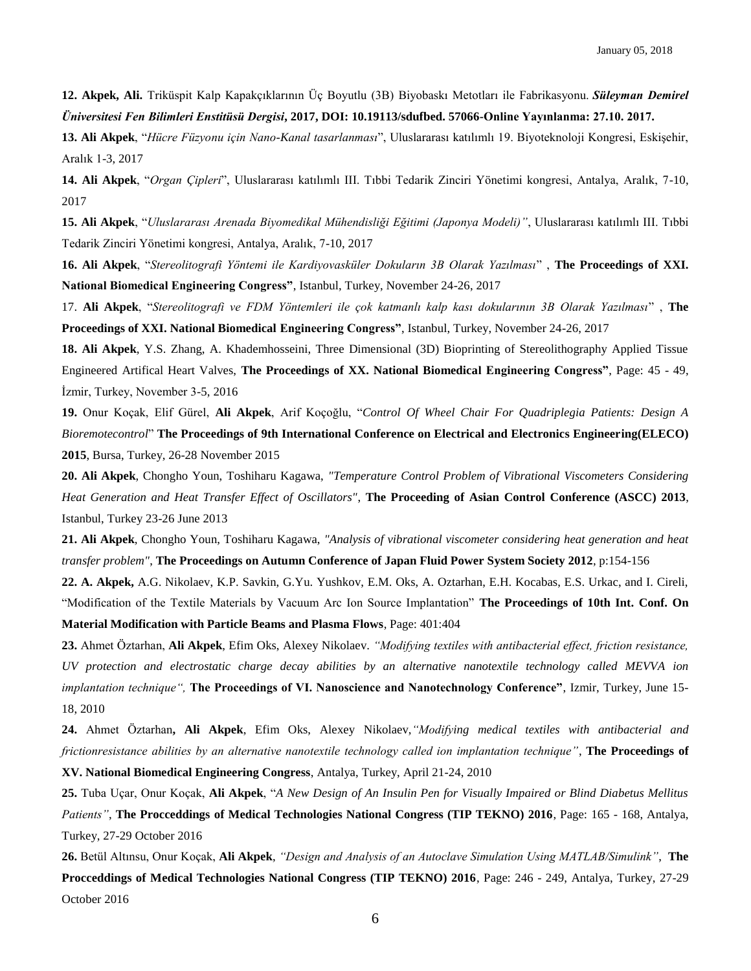**12. Akpek, Ali.** Triküspit Kalp Kapakçıklarının Üç Boyutlu (3B) Biyobaskı Metotları ile Fabrikasyonu. *Süleyman Demirel Üniversitesi Fen Bilimleri Enstitüsü Dergisi***, 2017, DOI: 10.19113/sdufbed. 57066-Online Yayınlanma: 27.10. 2017.**

**13. Ali Akpek**, "*Hücre Füzyonu için Nano-Kanal tasarlanması*", Uluslararası katılımlı 19. Biyoteknoloji Kongresi, Eskişehir, Aralık 1-3, 2017

**14. Ali Akpek**, "*Organ Çipleri*", Uluslararası katılımlı III. Tıbbi Tedarik Zinciri Yönetimi kongresi, Antalya, Aralık, 7-10, 2017

**15. Ali Akpek**, "*Uluslararası Arenada Biyomedikal Mühendisliği Eğitimi (Japonya Modeli)"*, Uluslararası katılımlı III. Tıbbi Tedarik Zinciri Yönetimi kongresi, Antalya, Aralık, 7-10, 2017

**16. Ali Akpek**, "*Stereolitografi Yöntemi ile Kardiyovasküler Dokuların 3B Olarak Yazılması*" , **The Proceedings of XXI. National Biomedical Engineering Congress"**, Istanbul, Turkey, November 24-26, 2017

17. **Ali Akpek**, "*Stereolitografi ve FDM Yöntemleri ile çok katmanlı kalp kası dokularının 3B Olarak Yazılması*" , **The Proceedings of XXI. National Biomedical Engineering Congress"**, Istanbul, Turkey, November 24-26, 2017

**18. Ali Akpek**, Y.S. Zhang, A. Khademhosseini, Three Dimensional (3D) Bioprinting of Stereolithography Applied Tissue Engineered Artifical Heart Valves, **The Proceedings of XX. National Biomedical Engineering Congress"**, Page: 45 - 49, İzmir, Turkey, November 3-5, 2016

**19.** Onur Koçak, Elif Gürel, **Ali Akpek**, Arif Koçoğlu, "*Control Of Wheel Chair For Quadriplegia Patients: Design A Bioremotecontrol*" **The Proceedings of 9th International Conference on Electrical and Electronics Engineering(ELECO) 2015**, Bursa, Turkey, 26-28 November 2015

**20. Ali Akpek**, Chongho Youn, Toshiharu Kagawa, *"Temperature Control Problem of Vibrational Viscometers Considering Heat Generation and Heat Transfer Effect of Oscillators"*, **The Proceeding of Asian Control Conference (ASCC) 2013**, Istanbul, Turkey 23-26 June 2013

**21. Ali Akpek**, Chongho Youn, Toshiharu Kagawa, *"Analysis of vibrational viscometer considering heat generation and heat transfer problem"*, **The Proceedings on Autumn Conference of Japan Fluid Power System Society 2012**, p:154-156

**22. A. Akpek,** A.G. Nikolaev, K.P. Savkin, G.Yu. Yushkov, E.M. Oks, A. Oztarhan, E.H. Kocabas, E.S. Urkac, and I. Cireli, "Modification of the Textile Materials by Vacuum Arc Ion Source Implantation" **The Proceedings of 10th Int. Conf. On Material Modification with Particle Beams and Plasma Flows**, Page: 401:404

**23.** Ahmet Öztarhan, **Ali Akpek**, Efim Oks, Alexey Nikolaev. *"Modifying textiles with antibacterial effect, friction resistance, UV protection and electrostatic charge decay abilities by an alternative nanotextile technology called MEVVA ion implantation technique",* **The Proceedings of VI. Nanoscience and Nanotechnology Conference"**, Izmir, Turkey, June 15- 18, 2010

**24.** Ahmet Öztarhan**, Ali Akpek**, Efim Oks, Alexey Nikolaev,*"Modifying medical textiles with antibacterial and frictionresistance abilities by an alternative nanotextile technology called ion implantation technique"*, **The Proceedings of XV. National Biomedical Engineering Congress**, Antalya, Turkey, April 21-24, 2010

**25.** Tuba Uçar, Onur Koçak, **Ali Akpek**, "*A New Design of An Insulin Pen for Visually Impaired or Blind Diabetus Mellitus Patients"*, **The Procceddings of Medical Technologies National Congress (TIP TEKNO) 2016**, Page: 165 - 168, Antalya, Turkey, 27-29 October 2016

**26.** Betül Altınsu, Onur Koçak, **Ali Akpek**, *"Design and Analysis of an Autoclave Simulation Using MATLAB/Simulink"*, **The Procceddings of Medical Technologies National Congress (TIP TEKNO) 2016**, Page: 246 - 249, Antalya, Turkey, 27-29 October 2016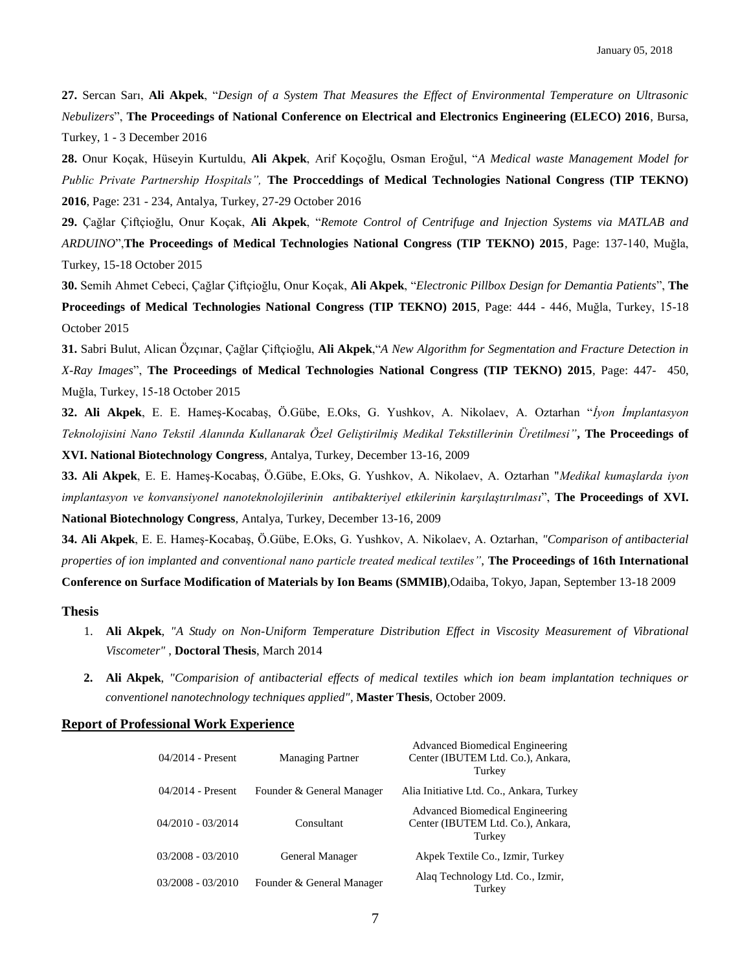**27.** Sercan Sarı, **Ali Akpek**, "*Design of a System That Measures the Effect of Environmental Temperature on Ultrasonic Nebulizers*", **The Proceedings of National Conference on Electrical and Electronics Engineering (ELECO) 2016**, Bursa, Turkey, 1 - 3 December 2016

**28.** Onur Koçak, Hüseyin Kurtuldu, **Ali Akpek**, Arif Koçoğlu, Osman Eroğul, "*A Medical waste Management Model for Public Private Partnership Hospitals",* **The Procceddings of Medical Technologies National Congress (TIP TEKNO) 2016**, Page: 231 - 234, Antalya, Turkey, 27-29 October 2016

**29.** Çağlar Çiftçioğlu, Onur Koçak, **Ali Akpek**, "*Remote Control of Centrifuge and Injection Systems via MATLAB and ARDUINO*",**The Proceedings of Medical Technologies National Congress (TIP TEKNO) 2015**, Page: 137-140, Muğla, Turkey, 15-18 October 2015

**30.** Semih Ahmet Cebeci, Çağlar Çiftçioğlu, Onur Koçak, **Ali Akpek**, "*Electronic Pillbox Design for Demantia Patients*", **The Proceedings of Medical Technologies National Congress (TIP TEKNO) 2015**, Page: 444 - 446, Muğla, Turkey, 15-18 October 2015

**31.** Sabri Bulut, Alican Özçınar, Çağlar Çiftçioğlu, **Ali Akpek**,"*A New Algorithm for Segmentation and Fracture Detection in X-Ray Images*", **The Proceedings of Medical Technologies National Congress (TIP TEKNO) 2015**, Page: 447- 450, Muğla, Turkey, 15-18 October 2015

**32. Ali Akpek**, E. E. Hameş-Kocabaş, Ö.Gübe, E.Oks, G. Yushkov, A. Nikolaev, A. Oztarhan "*İyon İmplantasyon Teknolojisini Nano Tekstil Alanında Kullanarak Özel Geliştirilmiş Medikal Tekstillerinin Üretilmesi"***, The Proceedings of XVI. National Biotechnology Congress**, Antalya, Turkey, December 13-16, 2009

**33. Ali Akpek**, E. E. Hameş-Kocabaş, Ö.Gübe, E.Oks, G. Yushkov, A. Nikolaev, A. Oztarhan "*Medikal kumaşlarda iyon implantasyon ve konvansiyonel nanoteknolojilerinin antibakteriyel etkilerinin karşılaştırılması*", **The Proceedings of XVI. National Biotechnology Congress**, Antalya, Turkey, December 13-16, 2009

**34. Ali Akpek**, E. E. Hameş-Kocabaş, Ö.Gübe, E.Oks, G. Yushkov, A. Nikolaev, A. Oztarhan, *"Comparison of antibacterial properties of ion implanted and conventional nano particle treated medical textiles"*, **The Proceedings of 16th International Conference on Surface Modification of Materials by Ion Beams (SMMIB)**,Odaiba, Tokyo, Japan, September 13-18 2009

**Thesis**

- 1. **Ali Akpek**, *"A Study on Non-Uniform Temperature Distribution Effect in Viscosity Measurement of Vibrational Viscometer"* , **Doctoral Thesis**, March 2014
- **2. Ali Akpek**, *"Comparision of antibacterial effects of medical textiles which ion beam implantation techniques or conventionel nanotechnology techniques applied",* **Master Thesis**, October 2009.

#### **Report of Professional Work Experience**

| $04/2014$ - Present | <b>Managing Partner</b>   | Advanced Biomedical Engineering<br>Center (IBUTEM Ltd. Co.), Ankara,<br>Turkey |
|---------------------|---------------------------|--------------------------------------------------------------------------------|
| $04/2014$ - Present | Founder & General Manager | Alia Initiative Ltd. Co., Ankara, Turkey                                       |
| $04/2010 - 03/2014$ | Consultant                | Advanced Biomedical Engineering<br>Center (IBUTEM Ltd. Co.), Ankara,<br>Turkey |
| $03/2008 - 03/2010$ | General Manager           | Akpek Textile Co., Izmir, Turkey                                               |
| $03/2008 - 03/2010$ | Founder & General Manager | Alaq Technology Ltd. Co., Izmir,<br>Turkev                                     |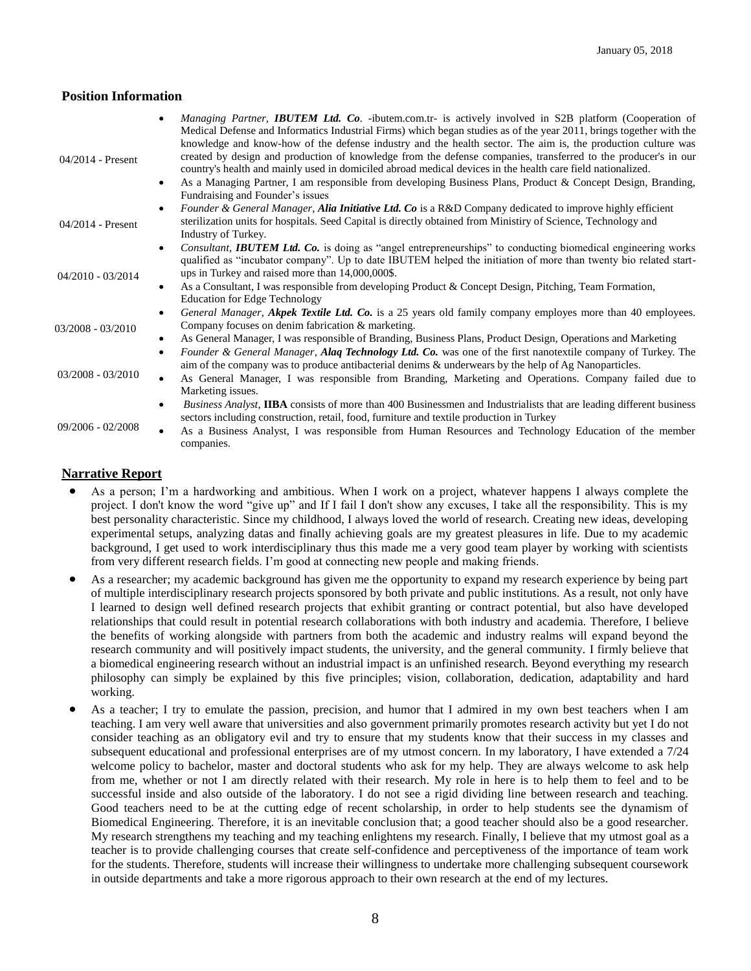# **Position Information**

| $04/2014$ - Present | Managing Partner, <b>IBUTEM Ltd. Co.</b> -ibutem.com.tr- is actively involved in S2B platform (Cooperation of<br>Medical Defense and Informatics Industrial Firms) which began studies as of the year 2011, brings together with the<br>knowledge and know-how of the defense industry and the health sector. The aim is, the production culture was<br>created by design and production of knowledge from the defense companies, transferred to the producer's in our<br>country's health and mainly used in domiciled abroad medical devices in the health care field nationalized.<br>As a Managing Partner, I am responsible from developing Business Plans, Product & Concept Design, Branding,<br>$\bullet$<br>Fundraising and Founder's issues |
|---------------------|-------------------------------------------------------------------------------------------------------------------------------------------------------------------------------------------------------------------------------------------------------------------------------------------------------------------------------------------------------------------------------------------------------------------------------------------------------------------------------------------------------------------------------------------------------------------------------------------------------------------------------------------------------------------------------------------------------------------------------------------------------|
| 04/2014 - Present   | Founder & General Manager, Alia Initiative Ltd. Co is a R&D Company dedicated to improve highly efficient<br>$\bullet$<br>sterilization units for hospitals. Seed Capital is directly obtained from Ministiry of Science, Technology and<br>Industry of Turkey.                                                                                                                                                                                                                                                                                                                                                                                                                                                                                       |
| 04/2010 - 03/2014   | Consultant, IBUTEM Ltd. Co. is doing as "angel entrepreneurships" to conducting biomedical engineering works<br>$\bullet$<br>qualified as "incubator company". Up to date IBUTEM helped the initiation of more than twenty bio related start-<br>ups in Turkey and raised more than 14,000,000\$.<br>As a Consultant, I was responsible from developing Product & Concept Design, Pitching, Team Formation,<br>$\bullet$<br><b>Education for Edge Technology</b>                                                                                                                                                                                                                                                                                      |
| 03/2008 - 03/2010   | General Manager, Akpek Textile Ltd. Co. is a 25 years old family company employes more than 40 employees.<br>$\bullet$<br>Company focuses on denim fabrication & marketing.<br>As General Manager, I was responsible of Branding, Business Plans, Product Design, Operations and Marketing<br>$\bullet$<br>Founder & General Manager, Alaq Technology Ltd. Co. was one of the first nanotextile company of Turkey. The<br>$\bullet$                                                                                                                                                                                                                                                                                                                   |
| $03/2008 - 03/2010$ | aim of the company was to produce antibacterial denims & underwears by the help of Ag Nanoparticles.<br>As General Manager, I was responsible from Branding, Marketing and Operations. Company failed due to<br>$\bullet$<br>Marketing issues.                                                                                                                                                                                                                                                                                                                                                                                                                                                                                                        |
| 09/2006 - 02/2008   | <i>Business Analyst</i> , <b>IIBA</b> consists of more than 400 Businessmen and Industrialists that are leading different business<br>$\bullet$<br>sectors including construction, retail, food, furniture and textile production in Turkey<br>As a Business Analyst, I was responsible from Human Resources and Technology Education of the member<br>$\bullet$<br>companies.                                                                                                                                                                                                                                                                                                                                                                        |

# **Narrative Report**

- As a person; I'm a hardworking and ambitious. When I work on a project, whatever happens I always complete the project. I don't know the word "give up" and If I fail I don't show any excuses, I take all the responsibility. This is my best personality characteristic. Since my childhood, I always loved the world of research. Creating new ideas, developing experimental setups, analyzing datas and finally achieving goals are my greatest pleasures in life. Due to my academic background, I get used to work interdisciplinary thus this made me a very good team player by working with scientists from very different research fields. I'm good at connecting new people and making friends.
- As a researcher; my academic background has given me the opportunity to expand my research experience by being part of multiple interdisciplinary research projects sponsored by both private and public institutions. As a result, not only have I learned to design well defined research projects that exhibit granting or contract potential, but also have developed relationships that could result in potential research collaborations with both industry and academia. Therefore, I believe the benefits of working alongside with partners from both the academic and industry realms will expand beyond the research community and will positively impact students, the university, and the general community. I firmly believe that a biomedical engineering research without an industrial impact is an unfinished research. Beyond everything my research philosophy can simply be explained by this five principles; vision, collaboration, dedication, adaptability and hard working.
- As a teacher; I try to emulate the passion, precision, and humor that I admired in my own best teachers when I am teaching. I am very well aware that universities and also government primarily promotes research activity but yet I do not consider teaching as an obligatory evil and try to ensure that my students know that their success in my classes and subsequent educational and professional enterprises are of my utmost concern. In my laboratory, I have extended a 7/24 welcome policy to bachelor, master and doctoral students who ask for my help. They are always welcome to ask help from me, whether or not I am directly related with their research. My role in here is to help them to feel and to be successful inside and also outside of the laboratory. I do not see a rigid dividing line between research and teaching. Good teachers need to be at the cutting edge of recent scholarship, in order to help students see the dynamism of Biomedical Engineering. Therefore, it is an inevitable conclusion that; a good teacher should also be a good researcher. My research strengthens my teaching and my teaching enlightens my research. Finally, I believe that my utmost goal as a teacher is to provide challenging courses that create self-confidence and perceptiveness of the importance of team work for the students. Therefore, students will increase their willingness to undertake more challenging subsequent coursework in outside departments and take a more rigorous approach to their own research at the end of my lectures.